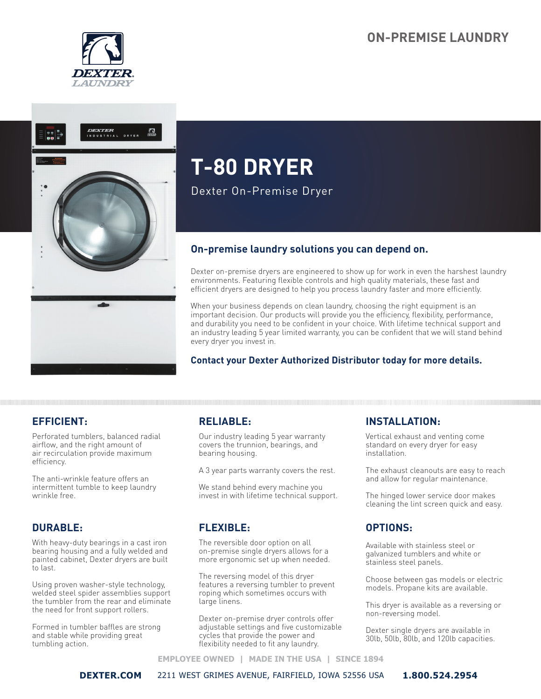# **ON-PREMISE LAUNDRY**





# **T-80 DRYER**

Dexter On-Premise Dryer

# **On-premise laundry solutions you can depend on.**

Dexter on-premise dryers are engineered to show up for work in even the harshest laundry environments. Featuring flexible controls and high quality materials, these fast and efficient dryers are designed to help you process laundry faster and more efficiently.

When your business depends on clean laundry, choosing the right equipment is an important decision. Our products will provide you the efficiency, flexibility, performance, and durability you need to be confident in your choice. With lifetime technical support and an industry leading 5 year limited warranty, you can be confident that we will stand behind every dryer you invest in.

#### **Contact your Dexter Authorized Distributor today for more details.**

# **EFFICIENT:**

Perforated tumblers, balanced radial airflow, and the right amount of air recirculation provide maximum efficiency.

The anti-wrinkle feature offers an intermittent tumble to keep laundry wrinkle free.

# **DURABLE:**

With heavy-duty bearings in a cast iron bearing housing and a fully welded and painted cabinet, Dexter dryers are built to last.

Using proven washer-style technology, welded steel spider assemblies support the tumbler from the rear and eliminate the need for front support rollers.

Formed in tumbler baffles are strong and stable while providing great tumbling action.

# **RELIABLE:**

Our industry leading 5 year warranty covers the trunnion, bearings, and bearing housing.

A 3 year parts warranty covers the rest.

We stand behind every machine you invest in with lifetime technical support.

# **FLEXIBLE:**

The reversible door option on all on-premise single dryers allows for a more ergonomic set up when needed.

The reversing model of this dryer features a reversing tumbler to prevent roping which sometimes occurs with large linens.

Dexter on-premise dryer controls offer adjustable settings and five customizable cycles that provide the power and flexibility needed to fit any laundry.

# **INSTALLATION:**

Vertical exhaust and venting come standard on every dryer for easy installation.

The exhaust cleanouts are easy to reach and allow for regular maintenance.

The hinged lower service door makes cleaning the lint screen quick and easy.

#### **OPTIONS:**

Available with stainless steel or galvanized tumblers and white or stainless steel panels.

Choose between gas models or electric models. Propane kits are available.

This dryer is available as a reversing or non-reversing model.

Dexter single dryers are available in 30lb, 50lb, 80lb, and 120lb capacities.

**EMPLOYEE OWNED | MADE IN THE USA | SINCE 1894** 

**DEXTER.COM** 2211 WEST GRIMES AVENUE, FAIRFIELD, IOWA 52556 USA **1.800.524.2954**